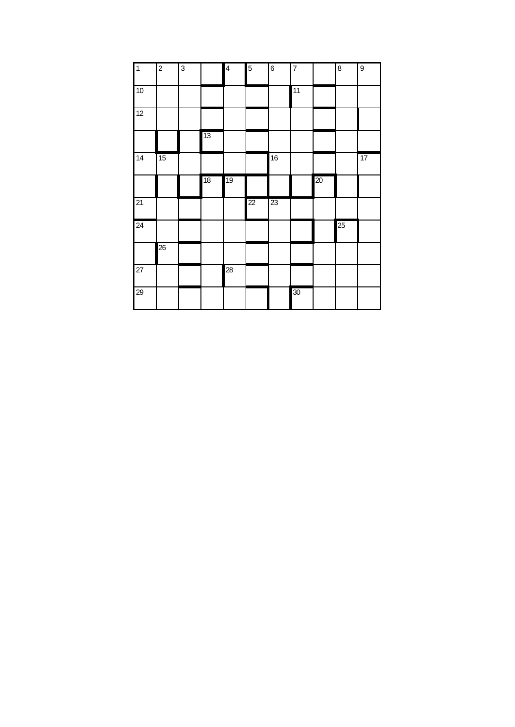| $\mathbf{1}$    | $\mathbf 2$ | 3 |    | $\overline{\mathbf{4}}$ | 5  | 6  | $\overline{7}$ |    | $\bf 8$ | 9  |
|-----------------|-------------|---|----|-------------------------|----|----|----------------|----|---------|----|
| 10              |             |   |    |                         |    |    | 11             |    |         |    |
| 12              |             |   |    |                         |    |    |                |    |         |    |
|                 |             |   | 13 |                         |    |    |                |    |         |    |
| $\overline{14}$ | 15          |   |    |                         |    | 16 |                |    |         | 17 |
|                 |             |   | 18 | 19                      |    |    |                | 20 |         |    |
| 21              |             |   |    |                         | 22 | 23 |                |    |         |    |
| 24              |             |   |    |                         |    |    |                |    | 25      |    |
|                 | 26          |   |    |                         |    |    |                |    |         |    |
| $\overline{27}$ |             |   |    | $\overline{28}$         |    |    |                |    |         |    |
| 29              |             |   |    |                         |    |    | 30             |    |         |    |